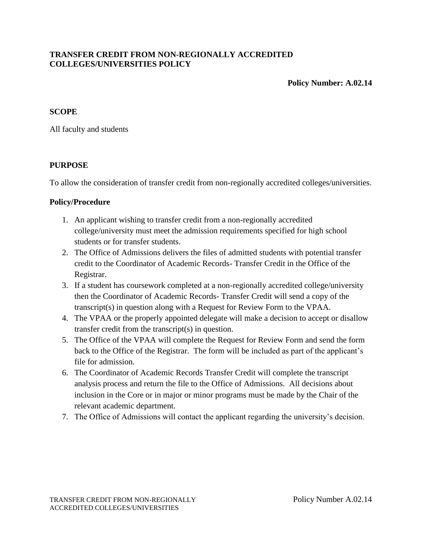## **TRANSFER CREDIT FROM NON-REGIONALLY ACCREDITED COLLEGES/UNIVERSITIES POLICY**

**Policy Number: A.02.14**

## **SCOPE**

All faculty and students

## **PURPOSE**

To allow the consideration of transfer credit from non-regionally accredited colleges/universities.

## **Policy/Procedure**

- 1. An applicant wishing to transfer credit from a non-regionally accredited college/university must meet the admission requirements specified for high school students or for transfer students.
- 2. The Office of Admissions delivers the files of admitted students with potential transfer credit to the Coordinator of Academic Records- Transfer Credit in the Office of the Registrar.
- 3. If a student has coursework completed at a non-regionally accredited college/university then the Coordinator of Academic Records- Transfer Credit will send a copy of the transcript(s) in question along with a Request for Review Form to the VPAA.
- 4. The VPAA or the properly appointed delegate will make a decision to accept or disallow transfer credit from the transcript(s) in question.
- 5. The Office of the VPAA will complete the Request for Review Form and send the form back to the Office of the Registrar. The form will be included as part of the applicant's file for admission.
- 6. The Coordinator of Academic Records Transfer Credit will complete the transcript analysis process and return the file to the Office of Admissions. All decisions about inclusion in the Core or in major or minor programs must be made by the Chair of the relevant academic department.
- 7. The Office of Admissions will contact the applicant regarding the university's decision.